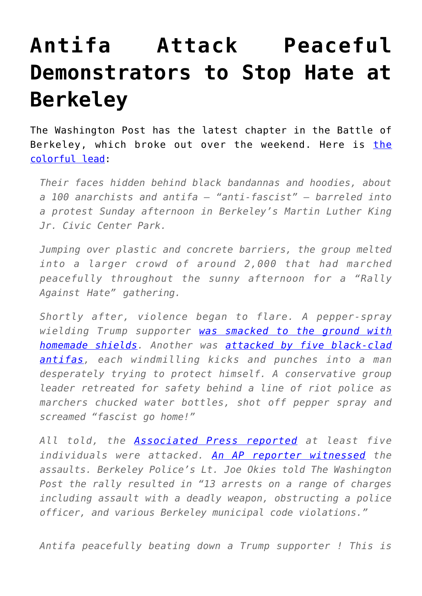## **[Antifa Attack Peaceful](https://intellectualtakeout.org/2017/08/antifa-attack-peaceful-demonstrators-to-stop-hate-at-berkeley/) [Demonstrators to Stop Hate at](https://intellectualtakeout.org/2017/08/antifa-attack-peaceful-demonstrators-to-stop-hate-at-berkeley/) [Berkeley](https://intellectualtakeout.org/2017/08/antifa-attack-peaceful-demonstrators-to-stop-hate-at-berkeley/)**

The Washington Post has the latest chapter in the Battle of Berkeley, which broke out over the weekend. Here is [the](https://www.washingtonpost.com/news/morning-mix/wp/2017/08/28/black-clad-antifa-attack-right-wing-demonstrators-in-berkeley/?utm_term=.677fc955dec1) [colorful lead](https://www.washingtonpost.com/news/morning-mix/wp/2017/08/28/black-clad-antifa-attack-right-wing-demonstrators-in-berkeley/?utm_term=.677fc955dec1):

*Their faces hidden behind black bandannas and hoodies, about a 100 anarchists and antifa — "anti-fascist" — barreled into a protest Sunday afternoon in Berkeley's Martin Luther King Jr. Civic Center Park.*

*Jumping over plastic and concrete barriers, the group melted into a larger crowd of around 2,000 that had marched peacefully throughout the sunny afternoon for a "Rally Against Hate" gathering.*

*Shortly after, violence began to flare. A pepper-spray wielding Trump supporter [was smacked to the ground with](https://twitter.com/search?q=berkeley&src=typd) [homemade shields](https://twitter.com/search?q=berkeley&src=typd). Another was [attacked by five black-clad](https://twitter.com/shane_bauer/status/901910682030882816) [antifas](https://twitter.com/shane_bauer/status/901910682030882816), each windmilling kicks and punches into a man desperately trying to protect himself. A conservative group leader retreated for safety behind a line of riot police as marchers chucked water bottles, shot off pepper spray and screamed "fascist go home!"*

*All told, the [Associated Press reported](http://abcnews.go.com/Politics/wireStory/black-clad-anarchists-swarm-anti-hate-rally-california-49462180) at least five individuals were attacked. [An AP reporter witnessed](https://www.policeone.com/Crowd-Control/articles/414209006-Video-Black-clad-anarchists-storm-Berkeley-rally-assaulting-5/) the assaults. Berkeley Police's Lt. Joe Okies told The Washington Post the rally resulted in "13 arrests on a range of charges including assault with a deadly weapon, obstructing a police officer, and various Berkeley municipal code violations."*

*Antifa peacefully beating down a Trump supporter ! This is*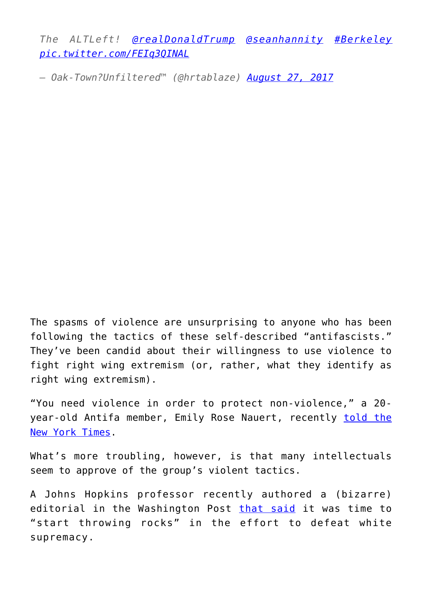*The ALTLeft! [@realDonaldTrump](https://twitter.com/realDonaldTrump) [@seanhannity](https://twitter.com/seanhannity) [#Berkeley](https://twitter.com/hashtag/Berkeley?src=hash) [pic.twitter.com/FEIq3QINAL](https://t.co/FEIq3QINAL)*

*— Oak-Town?Unfiltered™ (@hrtablaze) [August 27, 2017](https://twitter.com/hrtablaze/status/901915139057762304)*

The spasms of violence are unsurprising to anyone who has been following the tactics of these self-described "antifascists." They've been candid about their willingness to use violence to fight right wing extremism (or, rather, what they identify as right wing extremism).

"You need violence in order to protect non-violence," a 20 year-old Antifa member, Emily Rose Nauert, recently [told the](https://mobile.nytimes.com/2017/08/17/us/antifa-left-wing-faction-far-right.html?referer=https://www.google.com/) [New York Times](https://mobile.nytimes.com/2017/08/17/us/antifa-left-wing-faction-far-right.html?referer=https://www.google.com/).

What's more troubling, however, is that many intellectuals seem to approve of the group's violent tactics.

A Johns Hopkins professor recently authored a (bizarre) editorial in the Washington Post [that said](https://www.washingtonpost.com/news/made-by-history/wp/2017/08/15/charlottesville-showed-that-liberalism-cant-defeat-white-supremacy-only-direct-action-can/?utm_term=.ac1a3d8cdd91) it was time to "start throwing rocks" in the effort to defeat white supremacy.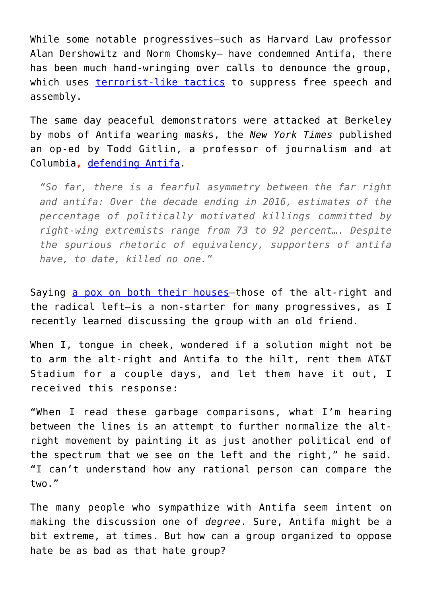While some notable progressives—such as Harvard Law professor Alan Dershowitz and Norm Chomsky— have condemned Antifa, there has been much hand-wringing over calls to denounce the group, which uses [terrorist-like tactics](https://www.intellectualtakeout.org/blog/are-antifascists-employing-crude-form-terrorism) to suppress free speech and assembly.

The same day peaceful demonstrators were attacked at Berkeley by mobs of Antifa wearing mas*k*s, the *New York Times* published an op-ed by Todd Gitlin, a professor of journalism and at Columbia**,** [defending Antifa.](https://www.nytimes.com/2017/08/28/opinion/antifa-trump-charlottesville.html?mcubz=1)

*"So far, there is a fearful asymmetry between the far right and antifa: Over the decade ending in 2016, estimates of the percentage of politically motivated killings committed by right-wing extremists range from 73 to 92 percent…. Despite the spurious rhetoric of equivalency, supporters of antifa have, to date, killed no one."*

Saying [a pox on both their houses—](https://www.intellectualtakeout.org/article/antifa-and-neo-nazis-pox-both-their-houses)those of the alt-right and the radical left—is a non-starter for many progressives, as I recently learned discussing the group with an old friend.

When I, tongue in cheek, wondered if a solution might not be to arm the alt-right and Antifa to the hilt, rent them AT&T Stadium for a couple days, and let them have it out, I received this response:

"When I read these garbage comparisons, what I'm hearing between the lines is an attempt to further normalize the altright movement by painting it as just another political end of the spectrum that we see on the left and the right," he said. "I can't understand how any rational person can compare the two."

The many people who sympathize with Antifa seem intent on making the discussion one of *degree*. Sure, Antifa might be a bit extreme, at times. But how can a group organized to oppose hate be as bad as that hate group?